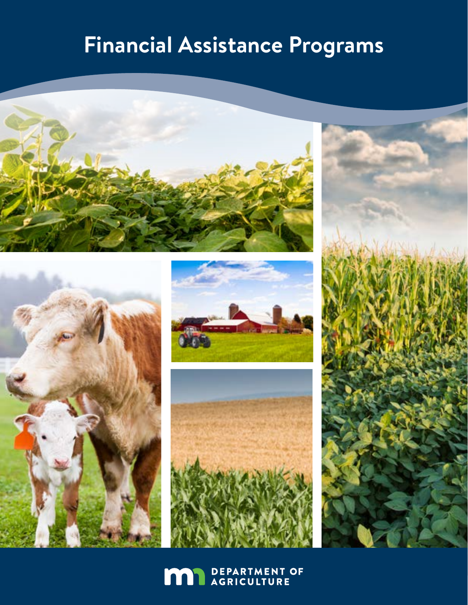## **Financial Assistance Programs**











**MAN** DEPARTMENT OF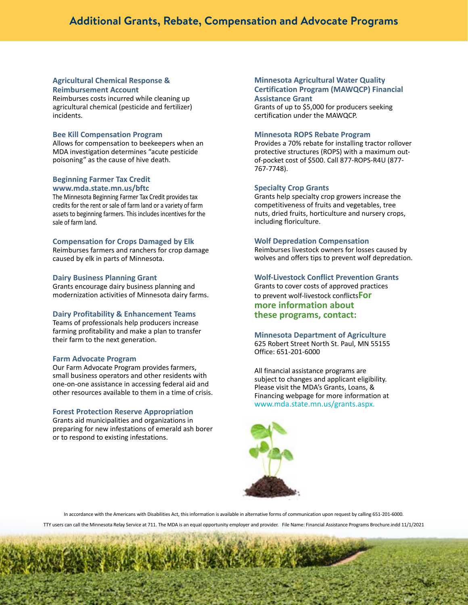### **Additional Grants, Rebate, Compensation and Advocate Programs**

#### **[Agricultural Chemical Response &](www.mda.state.mn.us/acrra  
)  [Reimbursement Account](www.mda.state.mn.us/acrra  
)**

Reimburses costs incurred while cleaning up agricultural chemical (pesticide and fertilizer) incidents.

#### **[Bee Kill Compensation Program](www.mda.state.mn.us/beekillcompensation)**

Allows for compensation to beekeepers when an MDA investigation determines "acute pesticide poisoning" as the cause of hive death.

#### **Beginning Farmer Tax Credit www.mda.state.mn.us/bftc**

The Minnesota Beginning Farmer Tax Credit provides tax credits for the rent or sale of farm land or a variety of farm assets to beginning farmers. This includes incentives for the sale of farm land.

#### **[Compensation for Crops Damaged by Elk](www.mda.state.mn.us/grants/disaster/elk.aspx 
)**

Reimburses farmers and ranchers for crop damage caused by elk in parts of Minnesota.

#### **[Dairy Business Planning Grant](www.mda.state.mn.us/grants/grants/dbgrant.aspx)**

Grants encourage dairy business planning and modernization activities of Minnesota dairy farms.

#### **[Dairy Profitability & Enhancement Teams](www.mda.state.mn.us/grants/grants/diagnostics.aspx)**

Teams of professionals help producers increase farming profitability and make a plan to transfer their farm to the next generation.

#### **[Farm Advocate Program](www.mda.state.mn.us/about/commissionersoffice/farmadvocates.aspx)**

Our Farm Advocate Program provides farmers, small business operators and other residents with one-on-one assistance in accessing federal aid and other resources available to them in a time of crisis.

#### **[Forest Protection Reserve Appropriation](www.mda.state.mn.us/grants/grants/fprappropriation.aspx)**

Grants aid municipalities and organizations in preparing for new infestations of emerald ash borer or to respond to existing infestations.

#### **[Minnesota Agricultural Water Quality](www.mda.state.mn.us/protecting/waterprotection/awqcprogram/mawqcpgrant.aspx)  [Certification Program \(MAWQCP\) Financial](www.mda.state.mn.us/protecting/waterprotection/awqcprogram/mawqcpgrant.aspx)  [Assistance Grant](www.mda.state.mn.us/protecting/waterprotection/awqcprogram/mawqcpgrant.aspx)**

Grants of up to \$5,000 for producers seeking certification under the MAWQCP.

#### **[Minnesota ROPS Rebate Program](www.ropsr4u.org)**

Provides a 70% rebate for installing tractor rollover protective structures (ROPS) with a maximum outof-pocket c[o](www.mda.state.mn.us/about/commissionersoffice/farmadvocates.aspx 
)st of \$500. Call 877-ROPS-R4U (877- 767-7748).

#### **[Specialty Crop Grants](www.mda.state.mn.us/about/commissionersoffice/farmadvocates.aspx 
)**

[Grants help specialty crop growers increase the](www.mda.state.mn.us/about/commissionersoffice/farmadvocates.aspx 
)  [competitiveness of fruits and vegetables, tree](www.mda.state.mn.us/about/commissionersoffice/farmadvocates.aspx 
)  [nuts, dried fruits, horticulture and nursery crops,](www.mda.state.mn.us/about/commissionersoffice/farmadvocates.aspx 
)  [including floriculture.](www.mda.state.mn.us/about/commissionersoffice/farmadvocates.aspx 
) 

#### **[Wolf Depredation Compensation](www.mda.state.mn.us/about/commissionersoffice/farmadvocates.aspx 
)**

[Reimburses livestock owners for losses caused by](www.mda.state.mn.us/about/commissionersoffice/farmadvocates.aspx 
)  [wolves and offers tips to prevent wolf depredation.](www.mda.state.mn.us/about/commissionersoffice/farmadvocates.aspx 
)

#### **[Wolf-Livestock Conflict Prevention Grants](http://www.mda.state.mn.us/grants/disaster/wolf/wolfconflictprevent.aspx)**

Grants to cover costs of approved practices to prevent wolf-livestock conflicts**For more information about these programs, contact:** 

#### **[Minnesota Department of Agriculture](http://www.mda.state.mn.us/)**

625 Robert Street North St. Paul, MN 55155 Office: 651-201-6000

All financial assistance programs are subject to changes and applicant eligibility. Please visit the MDA's Grants, Loans, & Financing webpage for more information at [www.mda.state.mn.us/grants.aspx.](www.mda.state.mn.us/grants.aspx)



In accordance with the Americans with Disabilities Act, this information is available in alternative forms of communication upon request by calling 651-201-6000. TTY users can call the Minnesota Relay Service at 711. The MDA is an equal opportunity employer and provider. File Name: Financial Assistance Programs Brochure.indd 11/1/2021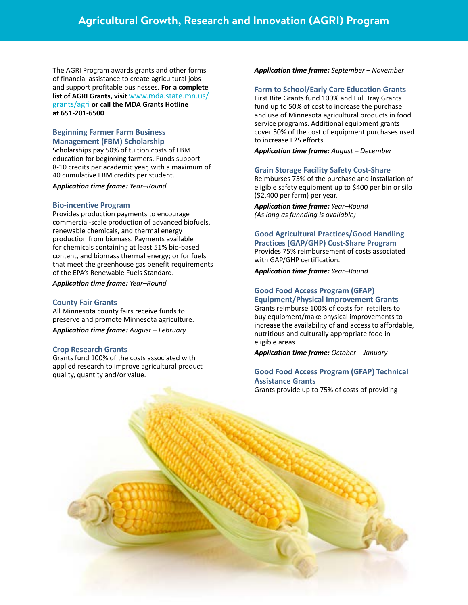### **Agricultural Growth, Research and Innovation (AGRI) Program**

The AGRI Program awards grants and other forms of financial assistance to create agricultural jobs and support profitable businesses. **For a complete list of AGRI Grants, visit** www.mda.state.mn.us/ grants/agri **or call the MDA Grants Hotline at 651-201-6500**.

#### **[Beginning Farmer Farm Business](http://www.mda.state.mn.us/food/organic/bizmgmt/beginningfarmerfbm.aspx)  [Management \(FBM\) Scholarship](http://www.mda.state.mn.us/food/organic/bizmgmt/beginningfarmerfbm.aspx)**

Scholarships pay 50% of tuition costs of FBM education for beginning farmers. Funds support 8-10 credits per academic year, with a maximum of 40 cumulative FBM credits per student.

*Application time frame: Year–Round* 

#### **[Bio-incentive Program](http://www.mda.state.mn.us/grants/agri/bioincentive.aspx)**

Provides production payments to encourage commercial-scale production of advanced biofuels, renewable chemicals, and thermal energy production from biomass. Payments available for chemicals containing at least 51% bio-based content, and biomass thermal energy; or for fuels that meet the greenhouse gas benefit requirements of the EPA's Renewable Fuels Standard.

*Application time frame: Year–Round*

#### **[County Fair Grants](http://www.mda.state.mn.us/grants/grants/countyfair.aspx)**

All Minnesota county fairs receive funds to preserve and promote Minnesota agriculture.

*Application time frame: August – February*

#### **[Crop Research Grants](http://www.mda.state.mn.us/grants/grants/cropresearch.aspx)**

Grants fund 100% of the costs associated with applied research to improve agricultural product quality, quantity and/or value.

*Application time frame: September – November*

#### **[Farm to School/Early Care Education Grants](http://www.mda.state.mn.us/grants/grants/mnfarmtoschool.aspx)**

First Bite Grants fund 100% and Full Tray Grants fund up to 50% of cost to increase the purchase and use of Minnesota agricultural products in food service programs. Additional equipment grants cover 50% of the cost of equipment purchases used to increase F2S efforts.

*Application time frame: August – December*

#### **Grain Storage Facility Safety Cost-Share**

Reimburses 75% of the purchase and installation of eligible safety equipment up to \$400 per bin or silo (\$2,400 per farm) per year.

*Application time frame: Year–Round (As long as funnding is available)*

#### **[Good Agricultural Practices/Good Handling](http://www.mda.state.mn.us/grants/gapcostshare.aspx)  [Practices \(GAP/GHP\) Cost-Share Program](http://www.mda.state.mn.us/grants/gapcostshare.aspx)** Provides 75% reimbursement of costs associated with GAP/GHP certification.

*Application time frame: Year–Round*

#### **[Good Food Access Program \(GFAP\)](http://www.mda.state.mn.us/grants/grants/gfapequipmentgrant.aspx)**

**[Equipment/Physical Improvement Grants](http://www.mda.state.mn.us/grants/grants/gfapequipmentgrant.aspx)** Grants reimburse 100% of costs for retailers to buy equipment/make physical improvements to increase the availability of and access to affordable, nutritious and culturally appropriate food in eligible areas.

*Application time frame: October – January*

#### **[Good Food Access Program \(GFAP\) Technical](http://www.mda.state.mn.us/grants/grants/gfaptechassistance.aspx)  [Assistance Grants](http://www.mda.state.mn.us/grants/grants/gfaptechassistance.aspx)**

Grants provide up to 75% of costs of providing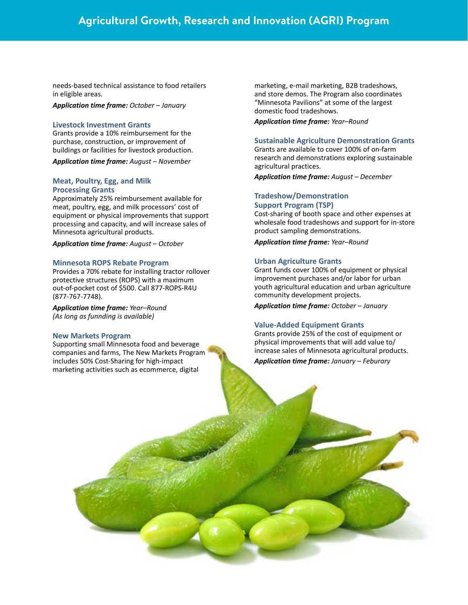### **Agricultural Growth, Research and Innovation (AGRI) Program**

needs-based technical assistance to food retailers in eligible areas.

*Application time frame: October – January*

#### **[Livestock Investment Grants](http://www.mda.state.mn.us/grants/grants/livestockinvestment.aspx)**

Grants provide a 10% reimbursement for the purchase, construction, or improvement of buildings or facilities for livestock production.

*Application time frame: August – November*

#### **Meat, Poultry, Egg, and Milk Processing Grants**

Approximately 25% reimbursement available for meat, poultry, egg, and milk processors' cost of equipment or physical improvements that support processing and capacity, and will increase sales of Minnesota agricultural products.

*Application time frame: August – October*

#### **Minnesota ROPS Rebate Program**

Provides a 70% rebate for installing tractor rollover protective structures (ROPS) with a maximum out-of-pocket cost of \$500. Call 877-ROPS-R4U (877-767-7748).

*Application time frame: Year–Round (As long as funnding is available)*

#### **New Markets Program**

Supporting small Minnesota food and beverage companies and farms, The New Markets Program includes 50% Cost-Sharing for high-impact marketing activities such as ecommerce, digital

marketing, e-mail marketing, B2B tradeshows, and store demos. The Program also coordinates "Minnesota Pavilions" at some of the largest domestic food tradeshows.

*Application time frame: Year–Round*

#### **[Sustainable Agriculture Demonstration Grants](http://www.mda.state.mn.us/grants/grants/demogrant.aspx)**

Grants are available to cover 100% of on-farm research and demonstrations exploring sustainable agricultural practices.

*Application time frame: August – December*

#### **[Tradeshow/Demonstration](https://www.mda.state.mn.us/food/business/processedfoods.aspx)  [Support Program \(TSP\)](https://www.mda.state.mn.us/food/business/processedfoods.aspx)**

Cost-sharing of booth space and other expenses at wholesale food tradeshows and support for in-store product sampling demonstrations.

*Application time frame: Year–Round*

#### **[Urban Agriculture Grants](http://www.mda.state.mn.us/grants/grants/urbanaggrant.aspx)**

Grant funds cover 100% of equipment or physical improvement purchases and/or labor for urban youth agricultural education and urban agriculture community development projects.

*Application time frame: October – January*

#### **[Value-Added Equipment Grants](http://www.mda.state.mn.us/grants/grants/valueaddedgrant.aspx)**

Grants provide 25% of the cost of equipment or physical improvements that will add value to/ increase sales of Minnesota agricultural products. *Application time frame: January – Feburary*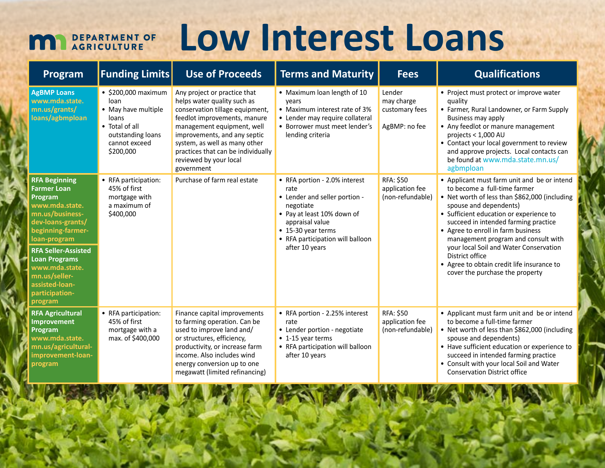## DEPARTMENT OF<br>AGRICULTURE

# **Low Interest Loans**

| Program                                                                                                                                                                                                                                                                                      | <b>Funding Limits</b>                                                                                                                    | <b>Use of Proceeds</b>                                                                                                                                                                                                                                                                                      | <b>Terms and Maturity</b>                                                                                                                                                                                        | <b>Fees</b>                                             | <b>Qualifications</b>                                                                                                                                                                                                                                                                                                                                                                                                                                                |
|----------------------------------------------------------------------------------------------------------------------------------------------------------------------------------------------------------------------------------------------------------------------------------------------|------------------------------------------------------------------------------------------------------------------------------------------|-------------------------------------------------------------------------------------------------------------------------------------------------------------------------------------------------------------------------------------------------------------------------------------------------------------|------------------------------------------------------------------------------------------------------------------------------------------------------------------------------------------------------------------|---------------------------------------------------------|----------------------------------------------------------------------------------------------------------------------------------------------------------------------------------------------------------------------------------------------------------------------------------------------------------------------------------------------------------------------------------------------------------------------------------------------------------------------|
| <b>AgBMP Loans</b><br>www.mda.state.<br>mn.us/grants/<br>loans/agbmploan                                                                                                                                                                                                                     | $\bullet$ \$200,000 maximum<br>loan<br>• May have multiple<br>loans<br>• Total of all<br>outstanding loans<br>cannot exceed<br>\$200,000 | Any project or practice that<br>helps water quality such as<br>conservation tillage equipment,<br>feedlot improvements, manure<br>management equipment, well<br>improvements, and any septic<br>system, as well as many other<br>practices that can be individually<br>reviewed by your local<br>government | • Maximum loan length of 10<br>vears<br>• Maximum interest rate of 3%<br>• Lender may require collateral<br>• Borrower must meet lender's<br>lending criteria                                                    | Lender<br>may charge<br>customary fees<br>AgBMP: no fee | • Project must protect or improve water<br>quality<br>• Farmer, Rural Landowner, or Farm Supply<br>Business may apply<br>• Any feedlot or manure management<br>projects < 1,000 AU<br>• Contact your local government to review<br>and approve projects. Local contacts can<br>be found at www.mda.state.mn.us/<br>agbmploan                                                                                                                                         |
| <b>RFA Beginning</b><br><b>Farmer Loan</b><br>Program<br>www.mda.state.<br>mn.us/business-<br>dev-loans-grants/<br>beginning-farmer-<br>loan-program<br><b>RFA Seller-Assisted</b><br><b>Loan Programs</b><br>www.mda.state.<br>mn.us/seller-<br>assisted-loan-<br>participation-<br>program | • RFA participation:<br>45% of first<br>mortgage with<br>a maximum of<br>\$400,000                                                       | Purchase of farm real estate                                                                                                                                                                                                                                                                                | • RFA portion - 2.0% interest<br>rate<br>• Lender and seller portion -<br>negotiate<br>• Pay at least 10% down of<br>appraisal value<br>• 15-30 year terms<br>• RFA participation will balloon<br>after 10 years | RFA: \$50<br>application fee<br>(non-refundable)        | • Applicant must farm unit and be or intend<br>to become a full-time farmer<br>• Net worth of less than \$862,000 (including<br>spouse and dependents)<br>• Sufficient education or experience to<br>succeed in intended farming practice<br>• Agree to enroll in farm business<br>management program and consult with<br>your local Soil and Water Conservation<br>District office<br>• Agree to obtain credit life insurance to<br>cover the purchase the property |
| <b>RFA Agricultural</b><br>Improvement<br>Program<br>www.mda.state.<br>mn.us/agricultural-<br>improvement-loan-<br>program                                                                                                                                                                   | • RFA participation:<br>45% of first<br>mortgage with a<br>max. of \$400,000                                                             | Finance capital improvements<br>to farming operation. Can be<br>used to improve land and/<br>or structures, efficiency,<br>productivity, or increase farm<br>income. Also includes wind<br>energy conversion up to one<br>megawatt (limited refinancing)                                                    | • RFA portion - 2.25% interest<br>rate<br>• Lender portion - negotiate<br>• 1-15 year terms<br>• RFA participation will balloon<br>after 10 years                                                                | <b>RFA: \$50</b><br>application fee<br>(non-refundable) | • Applicant must farm unit and be or intend<br>to become a full-time farmer<br>• Net worth of less than \$862,000 (including<br>spouse and dependents)<br>• Have sufficient education or experience to<br>succeed in intended farming practice<br>• Consult with your local Soil and Water<br><b>Conservation District office</b>                                                                                                                                    |

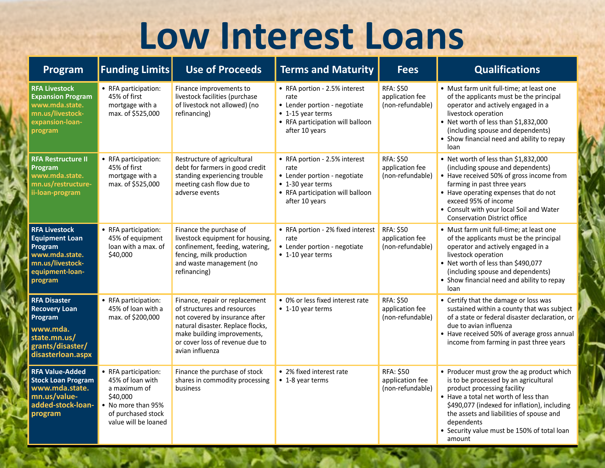# **Low Interest Loans**

| Program                                                                                                                      | <b>Funding Limits</b>                                                                                                                    | <b>Use of Proceeds</b>                                                                                                                                                                                                    | <b>Terms and Maturity</b>                                                                                                                        | <b>Fees</b>                                             | <b>Qualifications</b>                                                                                                                                                                                                                                                                                                         |
|------------------------------------------------------------------------------------------------------------------------------|------------------------------------------------------------------------------------------------------------------------------------------|---------------------------------------------------------------------------------------------------------------------------------------------------------------------------------------------------------------------------|--------------------------------------------------------------------------------------------------------------------------------------------------|---------------------------------------------------------|-------------------------------------------------------------------------------------------------------------------------------------------------------------------------------------------------------------------------------------------------------------------------------------------------------------------------------|
| <b>RFA Livestock</b><br><b>Expansion Program</b><br>www.mda.state.<br>mn.us/livestock-<br>expansion-loan-<br>program         | • RFA participation:<br>45% of first<br>mortgage with a<br>max. of \$525,000                                                             | Finance improvements to<br>livestock facilities (purchase<br>of livestock not allowed) (no<br>refinancing)                                                                                                                | • RFA portion - 2.5% interest<br>rate<br>• Lender portion - negotiate<br>• 1-15 year terms<br>• RFA participation will balloon<br>after 10 years | RFA: \$50<br>application fee<br>(non-refundable)        | • Must farm unit full-time; at least one<br>of the applicants must be the principal<br>operator and actively engaged in a<br>livestock operation<br>• Net worth of less than \$1,832,000<br>(including spouse and dependents)<br>• Show financial need and ability to repay<br>loan                                           |
| <b>RFA Restructure II</b><br>Program<br>www.mda.state.<br>mn.us/restructure-<br>ii-loan-program                              | • RFA participation:<br>45% of first<br>mortgage with a<br>max. of \$525,000                                                             | Restructure of agricultural<br>debt for farmers in good credit<br>standing experiencing trouble<br>meeting cash flow due to<br>adverse events                                                                             | • RFA portion - 2.5% interest<br>rate<br>• Lender portion - negotiate<br>• 1-30 year terms<br>• RFA participation will balloon<br>after 10 years | <b>RFA: \$50</b><br>application fee<br>(non-refundable) | • Net worth of less than \$1,832,000<br>(including spouse and dependents)<br>• Have received 50% of gross income from<br>farming in past three years<br>• Have operating expenses that do not<br>exceed 95% of income<br>• Consult with your local Soil and Water<br><b>Conservation District office</b>                      |
| <b>RFA Livestock</b><br><b>Equipment Loan</b><br>Program<br>www.mda.state.<br>mn.us/livestock-<br>equipment-loan-<br>program | • RFA participation:<br>45% of equipment<br>loan with a max. of<br>\$40,000                                                              | Finance the purchase of<br>livestock equipment for housing,<br>confinement, feeding, watering,<br>fencing, milk production<br>and waste management (no<br>refinancing)                                                    | • RFA portion - 2% fixed interest<br>rate<br>• Lender portion - negotiate<br>• 1-10 year terms                                                   | RFA: \$50<br>application fee<br>(non-refundable)        | • Must farm unit full-time; at least one<br>of the applicants must be the principal<br>operator and actively engaged in a<br>livestock operation<br>• Net worth of less than \$490,077<br>(including spouse and dependents)<br>• Show financial need and ability to repay<br>loan                                             |
| <b>RFA Disaster</b><br><b>Recovery Loan</b><br>Program<br>www.mda.<br>state.mn.us/<br>grants/disaster/<br>disasterloan.aspx  | • RFA participation:<br>45% of loan with a<br>max. of \$200,000                                                                          | Finance, repair or replacement<br>of structures and resources<br>not covered by insurance after<br>natural disaster. Replace flocks,<br>make building improvements,<br>or cover loss of revenue due to<br>avian influenza | • 0% or less fixed interest rate<br>• 1-10 year terms                                                                                            | RFA: \$50<br>application fee<br>(non-refundable)        | • Certify that the damage or loss was<br>sustained within a county that was subject<br>of a state or federal disaster declaration, or<br>due to avian influenza<br>• Have received 50% of average gross annual<br>income from farming in past three years                                                                     |
| <b>RFA Value-Added</b><br><b>Stock Loan Program</b><br>www.mda.state.<br>mn.us/value-<br>added-stock-loan-<br>program        | • RFA participation:<br>45% of loan with<br>a maximum of<br>\$40,000<br>• No more than 95%<br>of purchased stock<br>value will be loaned | Finance the purchase of stock<br>shares in commodity processing<br>business                                                                                                                                               | • 2% fixed interest rate<br>• 1-8 year terms                                                                                                     | RFA: \$50<br>application fee<br>(non-refundable)        | • Producer must grow the ag product which<br>is to be processed by an agricultural<br>product processing facility<br>• Have a total net worth of less than<br>\$490,077 (indexed for inflation), including<br>the assets and liabilities of spouse and<br>dependents<br>• Security value must be 150% of total loan<br>amount |